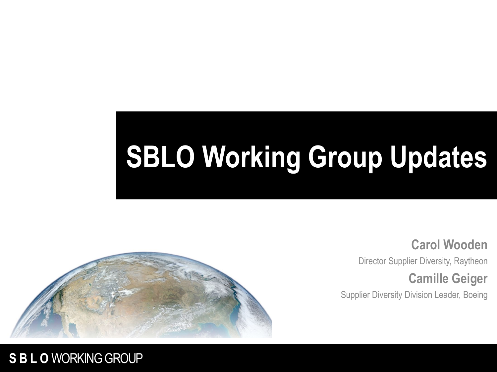# **SBLO Working Group Updates**



#### **Carol Wooden**

Director Supplier Diversity, Raytheon

#### **Camille Geiger**

Supplier Diversity Division Leader, Boeing

#### **SBLO** WORKING GROUP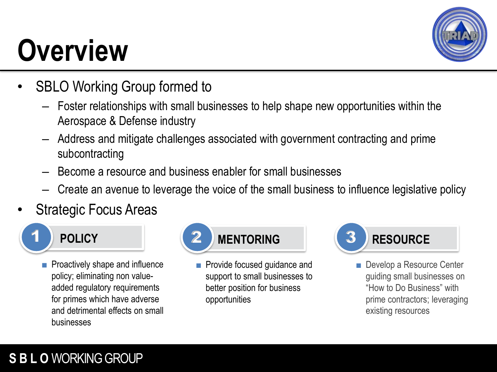## **Overview**



- SBLO Working Group formed to
	- Foster relationships with small businesses to help shape new opportunities within the Aerospace & Defense industry
	- Address and mitigate challenges associated with government contracting and prime subcontracting
	- Become a resource and business enabler for small businesses
	- Create an avenue to leverage the voice of the small business to influence legislative policy
- Strategic Focus Areas



■ Proactively shape and influence policy; eliminating non valueadded regulatory requirements for primes which have adverse and detrimental effects on small businesses



■ Provide focused quidance and support to small businesses to better position for business opportunities



■ Develop a Resource Center guiding small businesses on "How to Do Business" with prime contractors; leveraging existing resources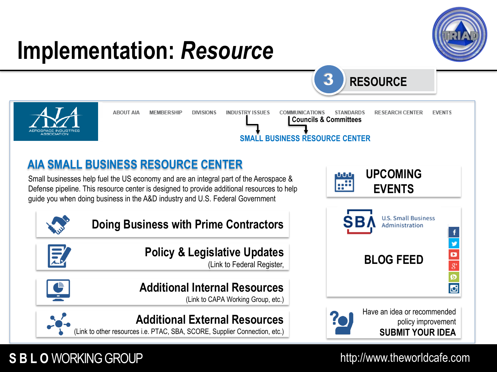

**Additional External Resources**

(Link to other resources i.e. PTAC, SBA, SCORE, Supplier Connection, etc.)



#### http://www.theworldcafe.com

 $\begin{array}{c}\n\bullet \\
8 \\
\bullet \\
\bullet\n\end{array}$ 

Ø

#### **SBLO** WORKING GROUP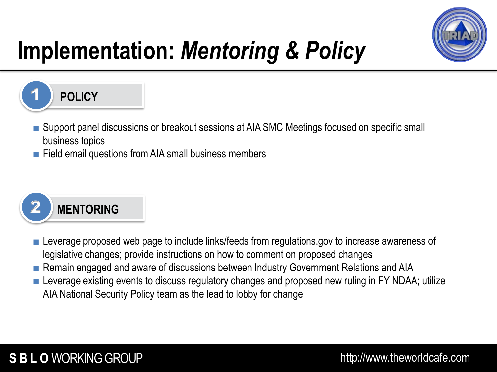

### **Implementation:** *Mentoring & Policy*



- Support panel discussions or breakout sessions at AIA SMC Meetings focused on specific small business topics
- Field email questions from AIA small business members



- Leverage proposed web page to include links/feeds from regulations.gov to increase awareness of legislative changes; provide instructions on how to comment on proposed changes
- Remain engaged and aware of discussions between Industry Government Relations and AIA
- Leverage existing events to discuss regulatory changes and proposed new ruling in FY NDAA; utilize AIA National Security Policy team as the lead to lobby for change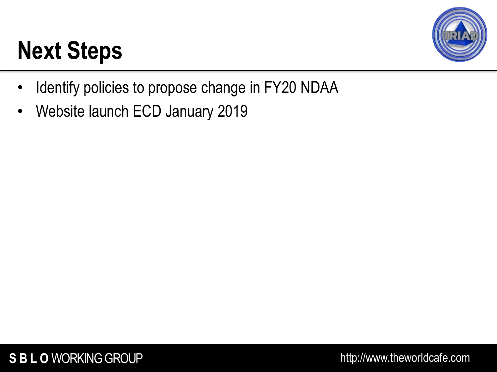### **Next Steps**



- Identify policies to propose change in FY20 NDAA
- Website launch ECD January 2019